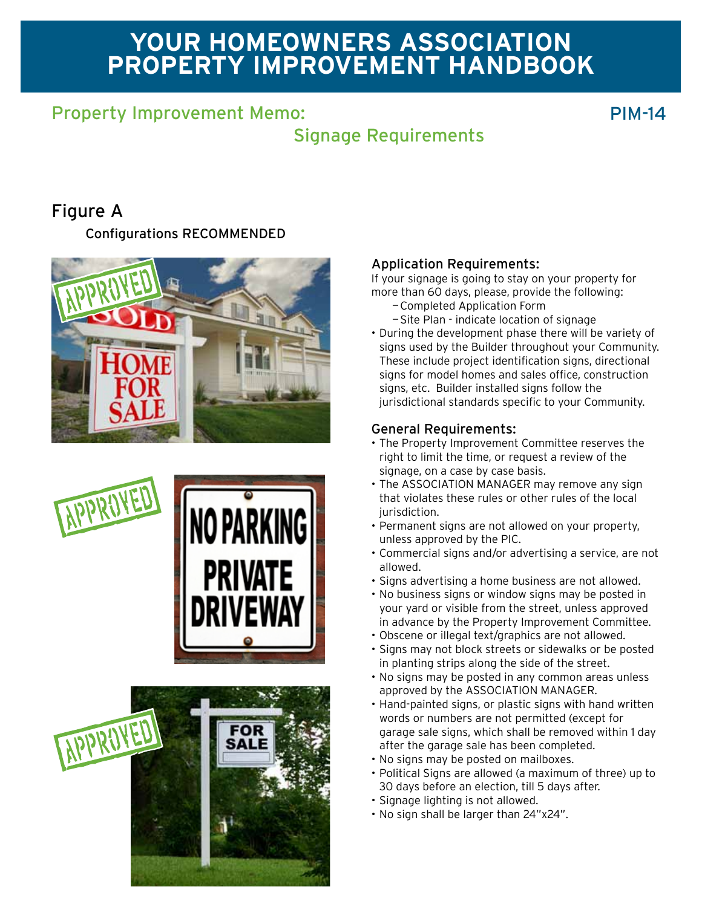# **Your homeowners association Property improvement Handbook**

## Property Improvement Memo: National Accounts 2012 11:00:00 PIM-14

## Signage Requirements

## Figure A

Configurations RECOMMENDED







### Application Requirements:

If your signage is going to stay on your property for more than 60 days, please, provide the following:

- —Completed Application Form
- —Site Plan indicate location of signage
- • During the development phase there will be variety of signs used by the Builder throughout your Community. These include project identification signs, directional signs for model homes and sales office, construction signs, etc. Builder installed signs follow the jurisdictional standards specific to your Community.

#### General Requirements:

- The Property Improvement Committee reserves the right to limit the time, or request a review of the signage, on a case by case basis.
- The ASSOCIATION MANAGER may remove any sign that violates these rules or other rules of the local jurisdiction.
- Permanent signs are not allowed on your property, unless approved by the PIC.
- • Commercial signs and/or advertising a service, are not allowed.
- Signs advertising a home business are not allowed.
- No business signs or window signs may be posted in your yard or visible from the street, unless approved in advance by the Property Improvement Committee.
- Obscene or illegal text/graphics are not allowed.
- • Signs may not block streets or sidewalks or be posted in planting strips along the side of the street.
- No signs may be posted in any common areas unless approved by the ASSOCIATION MANAGER.
- Hand-painted signs, or plastic signs with hand written words or numbers are not permitted (except for garage sale signs, which shall be removed within 1 day after the garage sale has been completed.
- • No signs may be posted on mailboxes.
- • Political Signs are allowed (a maximum of three) up to 30 days before an election, till 5 days after.
- Signage lighting is not allowed.
- • No sign shall be larger than 24"x24".